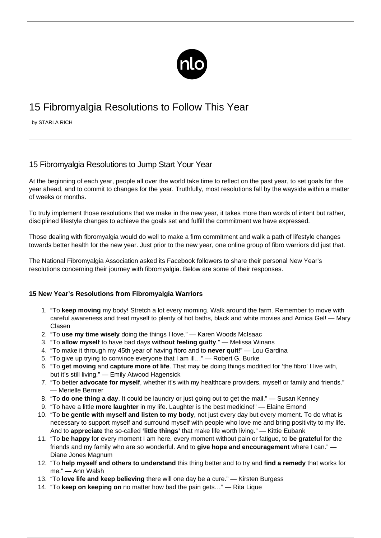

# 15 Fibromyalgia Resolutions to Follow This Year

by STARLA RICH

# 15 Fibromyalgia Resolutions to Jump Start Your Year

At the beginning of each year, people all over the world take time to reflect on the past year, to set goals for the year ahead, and to commit to changes for the year. Truthfully, most resolutions fall by the wayside within a matter of weeks or months.

To truly implement those resolutions that we make in the new year, it takes more than words of intent but rather, disciplined lifestyle changes to achieve the goals set and fulfill the commitment we have expressed.

Those dealing with fibromyalgia would do well to make a firm commitment and walk a path of [lifestyle changes](/great-hobbies-fms/) towards better health for the new year. Just prior to the new year, one online group of fibro warriors did just that.

The National Fibromyalgia Association asked its Facebook followers to share their personal New Year's resolutions concerning their journey with fibromyalgia. Below are some of their responses.

## **15 New Year's Resolutions from Fibromyalgia Warriors**

- 1. "To **keep moving** my body! Stretch a lot every morning. Walk around the farm. Remember to move with careful awareness and treat myself to plenty of hot baths, black and white movies and Arnica Gel! — Mary Clasen
- 2. "To **use my time wisely** doing the things I love." Karen Woods McIsaac
- 3. "To **allow myself** to have bad days **without feeling guilty**." Melissa Winans
- 4. "To make it through my 45th year of having fibro and to **never quit**!" Lou Gardina
- 5. "To give up trying to convince everyone that I am ill…" Robert G. Burke
- 6. "To **get moving** and **capture more of life**. That may be doing things modified for 'the fibro' I live with, but it's still living." — Emily Atwood Hagensick
- 7. "To better **advocate for myself**, whether it's with my healthcare providers, myself or family and friends." — Merielle Bernier
- 8. "To **do one thing a day**. It could be laundry or just going out to get the mail." Susan Kenney
- 9. "To have a little **more laughter** in my life. Laughter is the best medicine!" Elaine Emond
- 10. "To **be gentle with myself and listen to my body**, not just every day but every moment. To do what is necessary to support myself and surround myself with people who love me and bring positivity to my life. And to **appreciate** the so-called **'little things'** that make life worth living." — Kittie Eubank
- 11. "To **be happy** for every moment I am here, every moment without pain or fatigue, to **be grateful** for the friends and my family who are so wonderful. And to **give hope and encouragement** where I can." — Diane Jones Magnum
- 12. "To **help myself and others to understand** this thing better and to try and **find a remedy** that works for me." — Ann Walsh
- 13. "To **love life and keep believing** there will one day be a cure." Kirsten Burgess
- 14. "To **keep on keeping on** no matter how bad the pain gets…" Rita Lique